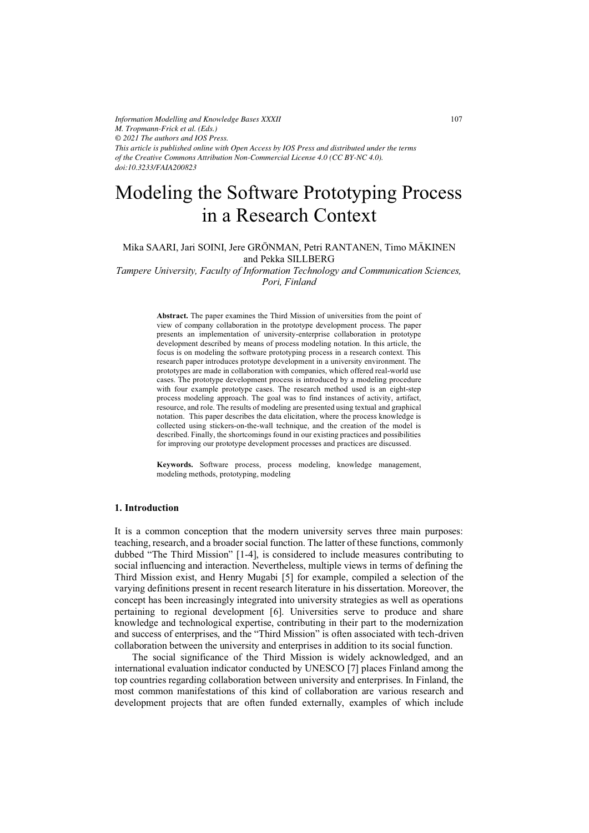*Information Modelling and Knowledge Bases XXXII M. Tropmann-Frick et al. (Eds.) © 2021 The authors and IOS Press. This article is published online with Open Access by IOS Press and distributed under the terms of the Creative Commons Attribution Non-Commercial License 4.0 (CC BY-NC 4.0). doi:10.3233/FAIA200823*

# Modeling the Software Prototyping Process in a Research Context

Mika SAARI, Jari SOINI, Jere GRÖNMAN, Petri RANTANEN, Timo MÄKINEN and Pekka SILLBERG

*Tampere University, Faculty of Information Technology and Communication Sciences, Pori, Finland* 

> **Abstract.** The paper examines the Third Mission of universities from the point of view of company collaboration in the prototype development process. The paper presents an implementation of university-enterprise collaboration in prototype development described by means of process modeling notation. In this article, the focus is on modeling the software prototyping process in a research context. This research paper introduces prototype development in a university environment. The prototypes are made in collaboration with companies, which offered real-world use cases. The prototype development process is introduced by a modeling procedure with four example prototype cases. The research method used is an eight-step process modeling approach. The goal was to find instances of activity, artifact, resource, and role. The results of modeling are presented using textual and graphical notation. This paper describes the data elicitation, where the process knowledge is collected using stickers-on-the-wall technique, and the creation of the model is described. Finally, the shortcomings found in our existing practices and possibilities for improving our prototype development processes and practices are discussed.

> **Keywords.** Software process, process modeling, knowledge management, modeling methods, prototyping, modeling

# **1. Introduction**

It is a common conception that the modern university serves three main purposes: teaching, research, and a broader social function. The latter of these functions, commonly dubbed "The Third Mission" [1-4], is considered to include measures contributing to social influencing and interaction. Nevertheless, multiple views in terms of defining the Third Mission exist, and Henry Mugabi [5] for example, compiled a selection of the varying definitions present in recent research literature in his dissertation. Moreover, the concept has been increasingly integrated into university strategies as well as operations pertaining to regional development [6]. Universities serve to produce and share knowledge and technological expertise, contributing in their part to the modernization and success of enterprises, and the "Third Mission" is often associated with tech-driven collaboration between the university and enterprises in addition to its social function.

The social significance of the Third Mission is widely acknowledged, and an international evaluation indicator conducted by UNESCO [7] places Finland among the top countries regarding collaboration between university and enterprises. In Finland, the most common manifestations of this kind of collaboration are various research and development projects that are often funded externally, examples of which include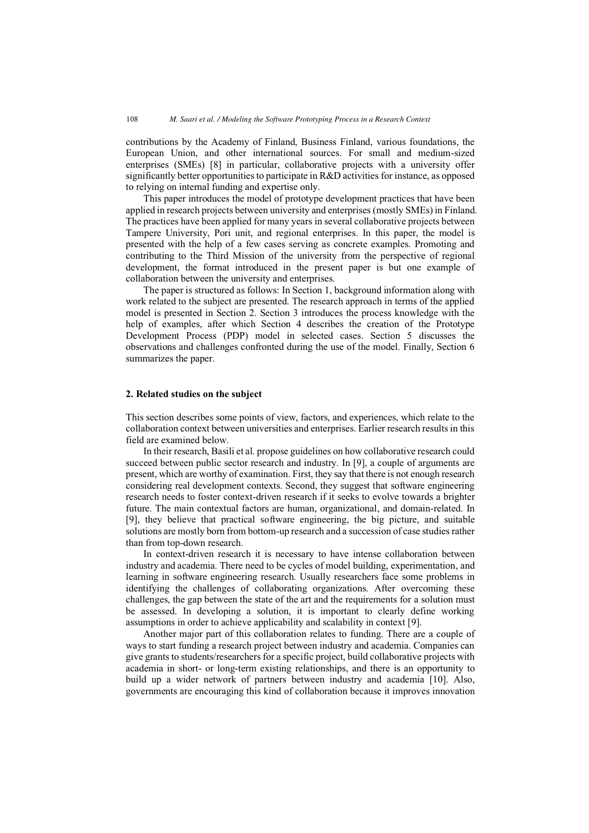contributions by the Academy of Finland, Business Finland, various foundations, the European Union, and other international sources. For small and medium-sized enterprises (SMEs) [8] in particular, collaborative projects with a university offer significantly better opportunities to participate in R&D activities for instance, as opposed to relying on internal funding and expertise only.

This paper introduces the model of prototype development practices that have been applied in research projects between university and enterprises (mostly SMEs) in Finland. The practices have been applied for many years in several collaborative projects between Tampere University, Pori unit, and regional enterprises. In this paper, the model is presented with the help of a few cases serving as concrete examples. Promoting and contributing to the Third Mission of the university from the perspective of regional development, the format introduced in the present paper is but one example of collaboration between the university and enterprises.

The paper is structured as follows: In Section 1, background information along with work related to the subject are presented. The research approach in terms of the applied model is presented in Section 2. Section 3 introduces the process knowledge with the help of examples, after which Section 4 describes the creation of the Prototype Development Process (PDP) model in selected cases. Section 5 discusses the observations and challenges confronted during the use of the model. Finally, Section 6 summarizes the paper.

### **2. Related studies on the subject**

This section describes some points of view, factors, and experiences, which relate to the collaboration context between universities and enterprises. Earlier research results in this field are examined below.

In their research, Basili et al. propose guidelines on how collaborative research could succeed between public sector research and industry. In [9], a couple of arguments are present, which are worthy of examination. First, they say that there is not enough research considering real development contexts. Second, they suggest that software engineering research needs to foster context-driven research if it seeks to evolve towards a brighter future. The main contextual factors are human, organizational, and domain-related. In [9], they believe that practical software engineering, the big picture, and suitable solutions are mostly born from bottom-up research and a succession of case studies rather than from top-down research.

In context-driven research it is necessary to have intense collaboration between industry and academia. There need to be cycles of model building, experimentation, and learning in software engineering research. Usually researchers face some problems in identifying the challenges of collaborating organizations. After overcoming these challenges, the gap between the state of the art and the requirements for a solution must be assessed. In developing a solution, it is important to clearly define working assumptions in order to achieve applicability and scalability in context [9].

Another major part of this collaboration relates to funding. There are a couple of ways to start funding a research project between industry and academia. Companies can give grants to students/researchers for a specific project, build collaborative projects with academia in short- or long-term existing relationships, and there is an opportunity to build up a wider network of partners between industry and academia [10]. Also, governments are encouraging this kind of collaboration because it improves innovation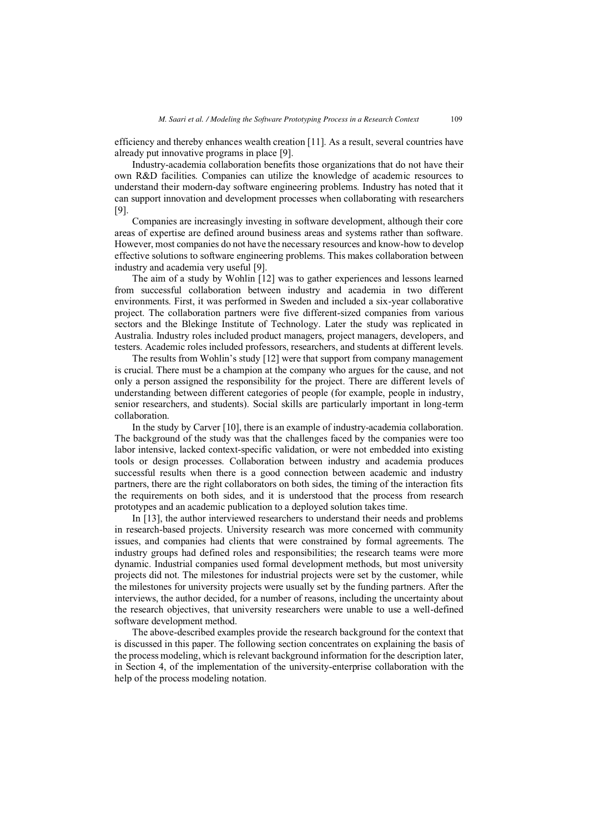efficiency and thereby enhances wealth creation [11]. As a result, several countries have already put innovative programs in place [9].

Industry-academia collaboration benefits those organizations that do not have their own R&D facilities. Companies can utilize the knowledge of academic resources to understand their modern-day software engineering problems. Industry has noted that it can support innovation and development processes when collaborating with researchers [9].

Companies are increasingly investing in software development, although their core areas of expertise are defined around business areas and systems rather than software. However, most companies do not have the necessary resources and know-how to develop effective solutions to software engineering problems. This makes collaboration between industry and academia very useful [9].

The aim of a study by Wohlin [12] was to gather experiences and lessons learned from successful collaboration between industry and academia in two different environments. First, it was performed in Sweden and included a six-year collaborative project. The collaboration partners were five different-sized companies from various sectors and the Blekinge Institute of Technology. Later the study was replicated in Australia. Industry roles included product managers, project managers, developers, and testers. Academic roles included professors, researchers, and students at different levels.

The results from Wohlin's study [12] were that support from company management is crucial. There must be a champion at the company who argues for the cause, and not only a person assigned the responsibility for the project. There are different levels of understanding between different categories of people (for example, people in industry, senior researchers, and students). Social skills are particularly important in long-term collaboration.

In the study by Carver [10], there is an example of industry-academia collaboration. The background of the study was that the challenges faced by the companies were too labor intensive, lacked context-specific validation, or were not embedded into existing tools or design processes. Collaboration between industry and academia produces successful results when there is a good connection between academic and industry partners, there are the right collaborators on both sides, the timing of the interaction fits the requirements on both sides, and it is understood that the process from research prototypes and an academic publication to a deployed solution takes time.

In [13], the author interviewed researchers to understand their needs and problems in research-based projects. University research was more concerned with community issues, and companies had clients that were constrained by formal agreements. The industry groups had defined roles and responsibilities; the research teams were more dynamic. Industrial companies used formal development methods, but most university projects did not. The milestones for industrial projects were set by the customer, while the milestones for university projects were usually set by the funding partners. After the interviews, the author decided, for a number of reasons, including the uncertainty about the research objectives, that university researchers were unable to use a well-defined software development method.

The above-described examples provide the research background for the context that is discussed in this paper. The following section concentrates on explaining the basis of the process modeling, which is relevant background information for the description later, in Section 4, of the implementation of the university-enterprise collaboration with the help of the process modeling notation.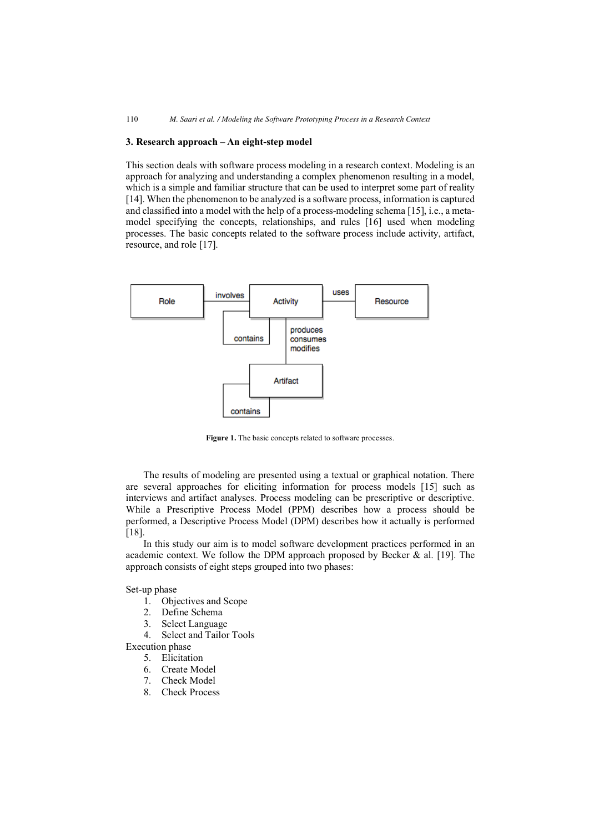# **3. Research approach – An eight-step model**

This section deals with software process modeling in a research context. Modeling is an approach for analyzing and understanding a complex phenomenon resulting in a model, which is a simple and familiar structure that can be used to interpret some part of reality [14]. When the phenomenon to be analyzed is a software process, information is captured and classified into a model with the help of a process-modeling schema [15], i.e., a metamodel specifying the concepts, relationships, and rules [16] used when modeling processes. The basic concepts related to the software process include activity, artifact, resource, and role [17].



**Figure 1.** The basic concepts related to software processes.

The results of modeling are presented using a textual or graphical notation. There are several approaches for eliciting information for process models [15] such as interviews and artifact analyses. Process modeling can be prescriptive or descriptive. While a Prescriptive Process Model (PPM) describes how a process should be performed, a Descriptive Process Model (DPM) describes how it actually is performed [18].

In this study our aim is to model software development practices performed in an academic context. We follow the DPM approach proposed by Becker  $\&$  al. [19]. The approach consists of eight steps grouped into two phases:

Set-up phase

- 1. Objectives and Scope
- 2. Define Schema
- 3. Select Language
- 4. Select and Tailor Tools

Execution phase

- 5. Elicitation
- 6. Create Model
- 7. Check Model
- 8. Check Process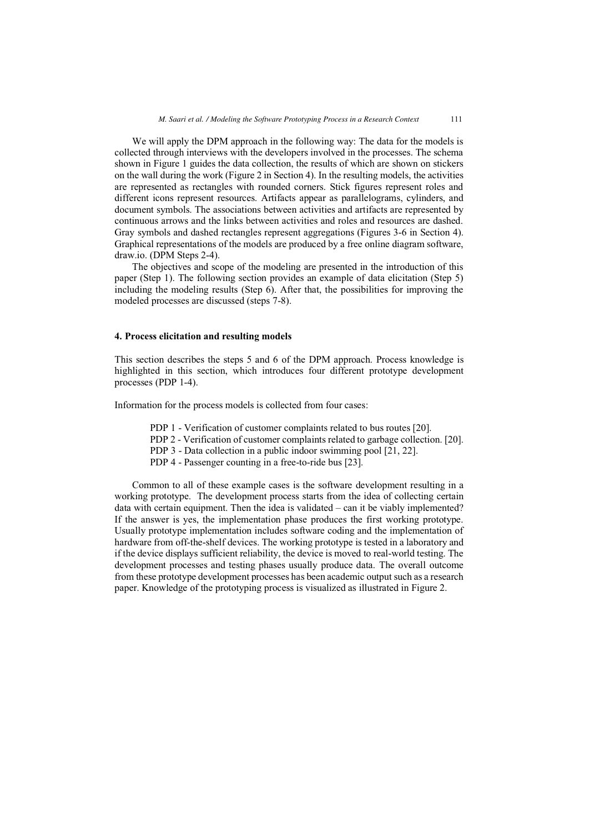We will apply the DPM approach in the following way: The data for the models is collected through interviews with the developers involved in the processes. The schema shown in Figure 1 guides the data collection, the results of which are shown on stickers on the wall during the work (Figure 2 in Section 4). In the resulting models, the activities are represented as rectangles with rounded corners. Stick figures represent roles and different icons represent resources. Artifacts appear as parallelograms, cylinders, and document symbols. The associations between activities and artifacts are represented by continuous arrows and the links between activities and roles and resources are dashed. Gray symbols and dashed rectangles represent aggregations (Figures 3-6 in Section 4). Graphical representations of the models are produced by a free online diagram software, draw.io. (DPM Steps 2-4).

The objectives and scope of the modeling are presented in the introduction of this paper (Step 1). The following section provides an example of data elicitation (Step 5) including the modeling results (Step 6). After that, the possibilities for improving the modeled processes are discussed (steps 7-8).

### **4. Process elicitation and resulting models**

This section describes the steps 5 and 6 of the DPM approach. Process knowledge is highlighted in this section, which introduces four different prototype development processes (PDP 1-4).

Information for the process models is collected from four cases:

- PDP 1 Verification of customer complaints related to bus routes [20].
- PDP 2 Verification of customer complaints related to garbage collection. [20].
- PDP 3 Data collection in a public indoor swimming pool [21, 22].
- PDP 4 Passenger counting in a free-to-ride bus [23].

Common to all of these example cases is the software development resulting in a working prototype. The development process starts from the idea of collecting certain data with certain equipment. Then the idea is validated – can it be viably implemented? If the answer is yes, the implementation phase produces the first working prototype. Usually prototype implementation includes software coding and the implementation of hardware from off-the-shelf devices. The working prototype is tested in a laboratory and if the device displays sufficient reliability, the device is moved to real-world testing. The development processes and testing phases usually produce data. The overall outcome from these prototype development processes has been academic output such as a research paper. Knowledge of the prototyping process is visualized as illustrated in Figure 2.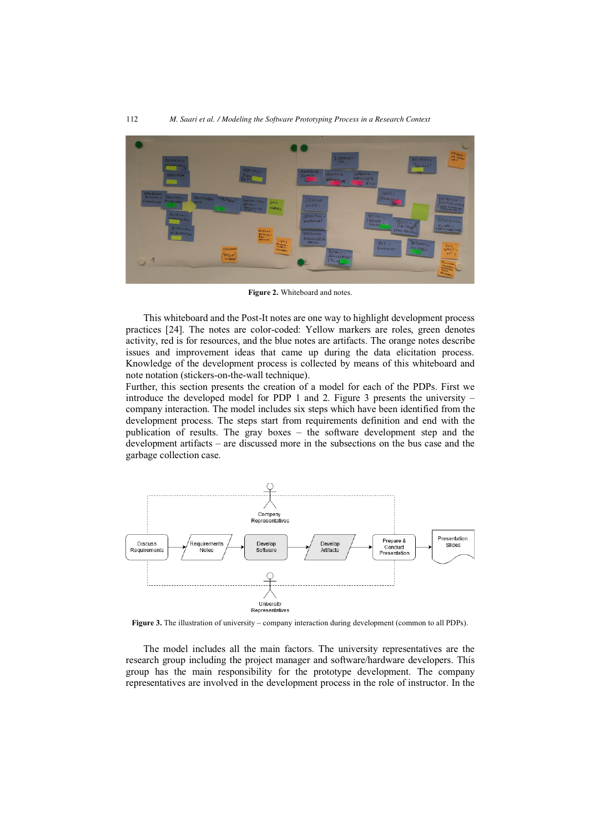

**Figure 2.** Whiteboard and notes.

This whiteboard and the Post-It notes are one way to highlight development process practices [24]. The notes are color-coded: Yellow markers are roles, green denotes activity, red is for resources, and the blue notes are artifacts. The orange notes describe issues and improvement ideas that came up during the data elicitation process. Knowledge of the development process is collected by means of this whiteboard and note notation (stickers-on-the-wall technique).

Further, this section presents the creation of a model for each of the PDPs. First we introduce the developed model for PDP 1 and 2. Figure 3 presents the university – company interaction. The model includes six steps which have been identified from the development process. The steps start from requirements definition and end with the publication of results. The gray boxes – the software development step and the development artifacts – are discussed more in the subsections on the bus case and the garbage collection case.



**Figure 3.** The illustration of university – company interaction during development (common to all PDPs).

The model includes all the main factors. The university representatives are the research group including the project manager and software/hardware developers. This group has the main responsibility for the prototype development. The company representatives are involved in the development process in the role of instructor. In the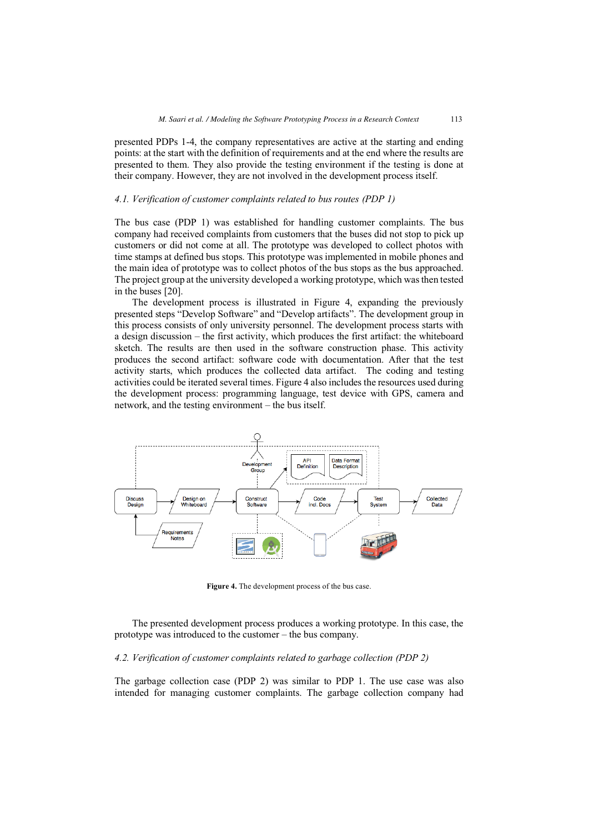presented PDPs 1-4, the company representatives are active at the starting and ending points: at the start with the definition of requirements and at the end where the results are presented to them. They also provide the testing environment if the testing is done at their company. However, they are not involved in the development process itself.

# *4.1. Verification of customer complaints related to bus routes (PDP 1)*

The bus case (PDP 1) was established for handling customer complaints. The bus company had received complaints from customers that the buses did not stop to pick up customers or did not come at all. The prototype was developed to collect photos with time stamps at defined bus stops. This prototype was implemented in mobile phones and the main idea of prototype was to collect photos of the bus stops as the bus approached. The project group at the university developed a working prototype, which was then tested in the buses [20].

The development process is illustrated in Figure 4, expanding the previously presented steps "Develop Software" and "Develop artifacts". The development group in this process consists of only university personnel. The development process starts with a design discussion – the first activity, which produces the first artifact: the whiteboard sketch. The results are then used in the software construction phase. This activity produces the second artifact: software code with documentation. After that the test activity starts, which produces the collected data artifact. The coding and testing activities could be iterated several times. Figure 4 also includes the resources used during the development process: programming language, test device with GPS, camera and network, and the testing environment – the bus itself.



**Figure 4.** The development process of the bus case.

The presented development process produces a working prototype. In this case, the prototype was introduced to the customer – the bus company.

# *4.2. Verification of customer complaints related to garbage collection (PDP 2)*

The garbage collection case (PDP 2) was similar to PDP 1. The use case was also intended for managing customer complaints. The garbage collection company had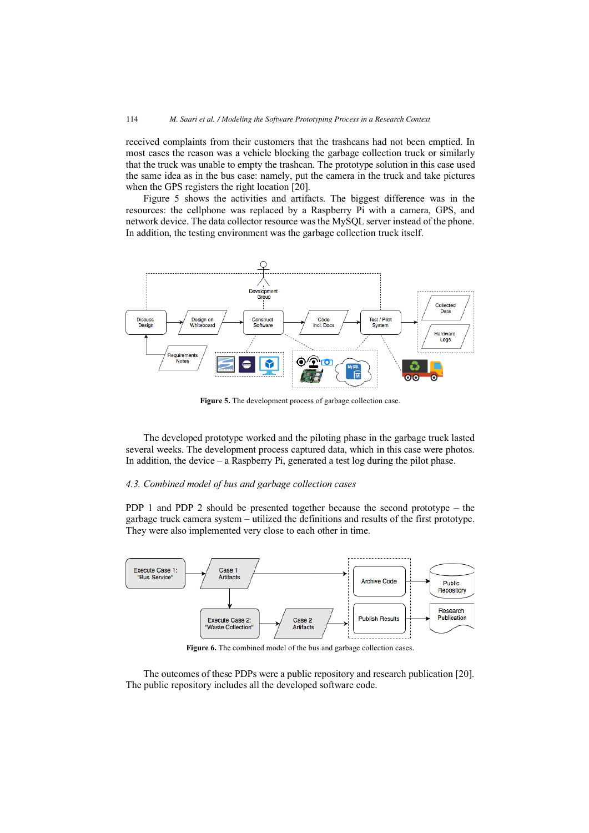received complaints from their customers that the trashcans had not been emptied. In most cases the reason was a vehicle blocking the garbage collection truck or similarly that the truck was unable to empty the trashcan. The prototype solution in this case used the same idea as in the bus case: namely, put the camera in the truck and take pictures when the GPS registers the right location [20].

Figure 5 shows the activities and artifacts. The biggest difference was in the resources: the cellphone was replaced by a Raspberry Pi with a camera, GPS, and network device. The data collector resource was the MySQL server instead of the phone. In addition, the testing environment was the garbage collection truck itself.



**Figure 5.** The development process of garbage collection case.

The developed prototype worked and the piloting phase in the garbage truck lasted several weeks. The development process captured data, which in this case were photos. In addition, the device – a Raspberry Pi, generated a test log during the pilot phase.

# *4.3. Combined model of bus and garbage collection cases*

PDP 1 and PDP 2 should be presented together because the second prototype – the garbage truck camera system – utilized the definitions and results of the first prototype. They were also implemented very close to each other in time.



**Figure 6.** The combined model of the bus and garbage collection cases.

The outcomes of these PDPs were a public repository and research publication [20]. The public repository includes all the developed software code.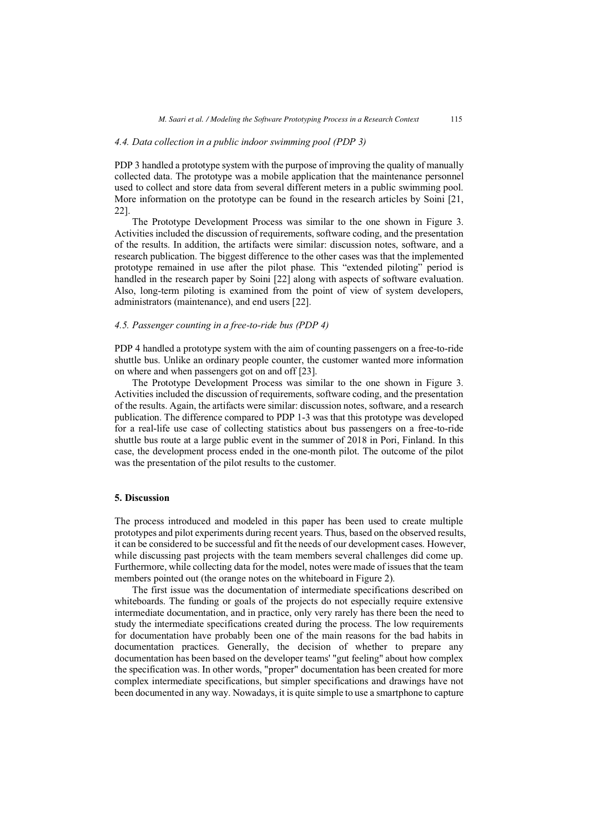### *4.4. Data collection in a public indoor swimming pool (PDP 3)*

PDP 3 handled a prototype system with the purpose of improving the quality of manually collected data. The prototype was a mobile application that the maintenance personnel used to collect and store data from several different meters in a public swimming pool. More information on the prototype can be found in the research articles by Soini [21, 22].

The Prototype Development Process was similar to the one shown in Figure 3. Activities included the discussion of requirements, software coding, and the presentation of the results. In addition, the artifacts were similar: discussion notes, software, and a research publication. The biggest difference to the other cases was that the implemented prototype remained in use after the pilot phase. This "extended piloting" period is handled in the research paper by Soini [22] along with aspects of software evaluation. Also, long-term piloting is examined from the point of view of system developers, administrators (maintenance), and end users [22].

#### *4.5. Passenger counting in a free-to-ride bus (PDP 4)*

PDP 4 handled a prototype system with the aim of counting passengers on a free-to-ride shuttle bus. Unlike an ordinary people counter, the customer wanted more information on where and when passengers got on and off [23].

The Prototype Development Process was similar to the one shown in Figure 3. Activities included the discussion of requirements, software coding, and the presentation of the results. Again, the artifacts were similar: discussion notes, software, and a research publication. The difference compared to PDP 1-3 was that this prototype was developed for a real-life use case of collecting statistics about bus passengers on a free-to-ride shuttle bus route at a large public event in the summer of 2018 in Pori, Finland. In this case, the development process ended in the one-month pilot. The outcome of the pilot was the presentation of the pilot results to the customer.

### **5. Discussion**

The process introduced and modeled in this paper has been used to create multiple prototypes and pilot experiments during recent years. Thus, based on the observed results, it can be considered to be successful and fit the needs of our development cases. However, while discussing past projects with the team members several challenges did come up. Furthermore, while collecting data for the model, notes were made of issues that the team members pointed out (the orange notes on the whiteboard in Figure 2).

The first issue was the documentation of intermediate specifications described on whiteboards. The funding or goals of the projects do not especially require extensive intermediate documentation, and in practice, only very rarely has there been the need to study the intermediate specifications created during the process. The low requirements for documentation have probably been one of the main reasons for the bad habits in documentation practices. Generally, the decision of whether to prepare any documentation has been based on the developer teams' "gut feeling" about how complex the specification was. In other words, "proper" documentation has been created for more complex intermediate specifications, but simpler specifications and drawings have not been documented in any way. Nowadays, it is quite simple to use a smartphone to capture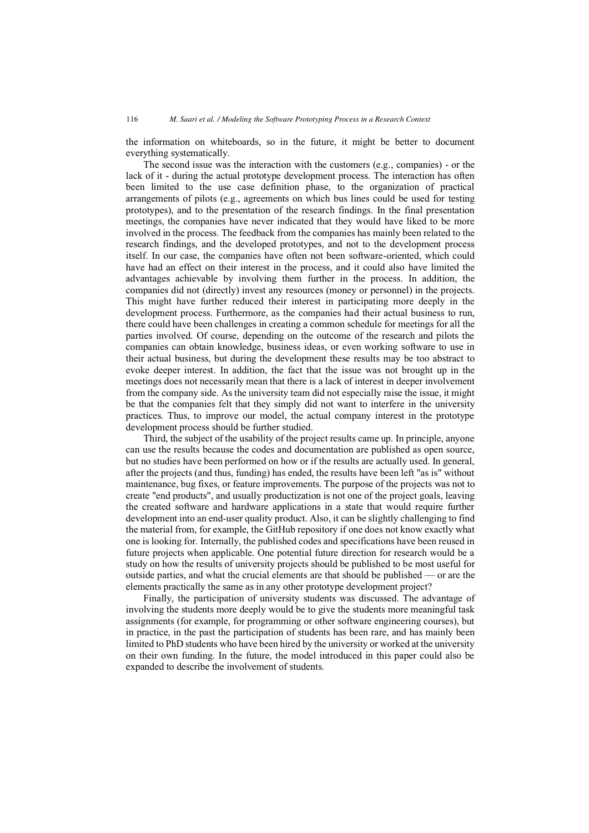the information on whiteboards, so in the future, it might be better to document everything systematically.

The second issue was the interaction with the customers (e.g., companies) - or the lack of it - during the actual prototype development process. The interaction has often been limited to the use case definition phase, to the organization of practical arrangements of pilots (e.g., agreements on which bus lines could be used for testing prototypes), and to the presentation of the research findings. In the final presentation meetings, the companies have never indicated that they would have liked to be more involved in the process. The feedback from the companies has mainly been related to the research findings, and the developed prototypes, and not to the development process itself. In our case, the companies have often not been software-oriented, which could have had an effect on their interest in the process, and it could also have limited the advantages achievable by involving them further in the process. In addition, the companies did not (directly) invest any resources (money or personnel) in the projects. This might have further reduced their interest in participating more deeply in the development process. Furthermore, as the companies had their actual business to run, there could have been challenges in creating a common schedule for meetings for all the parties involved. Of course, depending on the outcome of the research and pilots the companies can obtain knowledge, business ideas, or even working software to use in their actual business, but during the development these results may be too abstract to evoke deeper interest. In addition, the fact that the issue was not brought up in the meetings does not necessarily mean that there is a lack of interest in deeper involvement from the company side. As the university team did not especially raise the issue, it might be that the companies felt that they simply did not want to interfere in the university practices. Thus, to improve our model, the actual company interest in the prototype development process should be further studied.

Third, the subject of the usability of the project results came up. In principle, anyone can use the results because the codes and documentation are published as open source, but no studies have been performed on how or if the results are actually used. In general, after the projects (and thus, funding) has ended, the results have been left "as is" without maintenance, bug fixes, or feature improvements. The purpose of the projects was not to create "end products", and usually productization is not one of the project goals, leaving the created software and hardware applications in a state that would require further development into an end-user quality product. Also, it can be slightly challenging to find the material from, for example, the GitHub repository if one does not know exactly what one is looking for. Internally, the published codes and specifications have been reused in future projects when applicable. One potential future direction for research would be a study on how the results of university projects should be published to be most useful for outside parties, and what the crucial elements are that should be published — or are the elements practically the same as in any other prototype development project?

Finally, the participation of university students was discussed. The advantage of involving the students more deeply would be to give the students more meaningful task assignments (for example, for programming or other software engineering courses), but in practice, in the past the participation of students has been rare, and has mainly been limited to PhD students who have been hired by the university or worked at the university on their own funding. In the future, the model introduced in this paper could also be expanded to describe the involvement of students.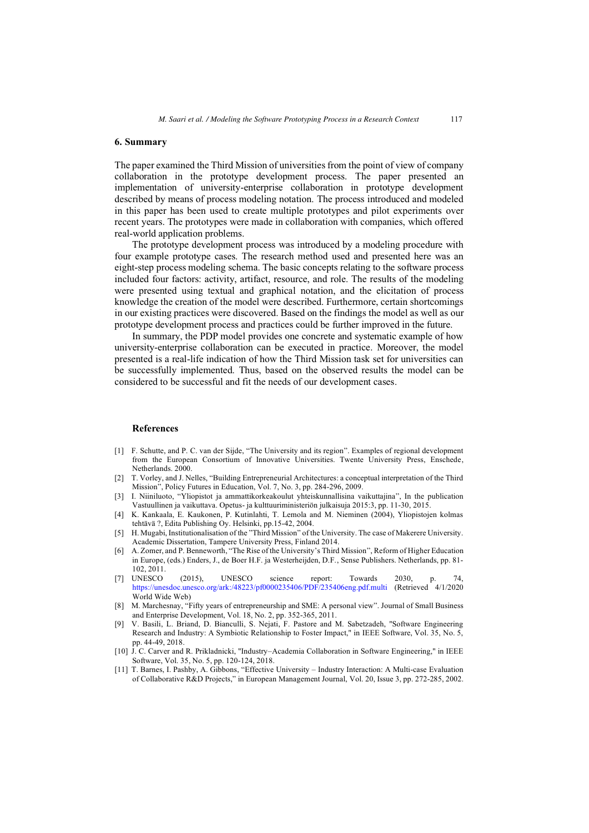## **6. Summary**

The paper examined the Third Mission of universities from the point of view of company collaboration in the prototype development process. The paper presented an implementation of university-enterprise collaboration in prototype development described by means of process modeling notation. The process introduced and modeled in this paper has been used to create multiple prototypes and pilot experiments over recent years. The prototypes were made in collaboration with companies, which offered real-world application problems.

The prototype development process was introduced by a modeling procedure with four example prototype cases. The research method used and presented here was an eight-step process modeling schema. The basic concepts relating to the software process included four factors: activity, artifact, resource, and role. The results of the modeling were presented using textual and graphical notation, and the elicitation of process knowledge the creation of the model were described. Furthermore, certain shortcomings in our existing practices were discovered. Based on the findings the model as well as our prototype development process and practices could be further improved in the future.

In summary, the PDP model provides one concrete and systematic example of how university-enterprise collaboration can be executed in practice. Moreover, the model presented is a real-life indication of how the Third Mission task set for universities can be successfully implemented. Thus, based on the observed results the model can be considered to be successful and fit the needs of our development cases.

#### **References**

- [1] F. Schutte, and P. C. van der Sijde, "The University and its region". Examples of regional development from the European Consortium of Innovative Universities. Twente University Press, Enschede, Netherlands. 2000.
- [2] T. Vorley, and J. Nelles, "Building Entrepreneurial Architectures: a conceptual interpretation of the Third Mission", Policy Futures in Education, Vol. 7, No. 3, pp. 284-296, 2009.
- [3] I. Niiniluoto, "Yliopistot ja ammattikorkeakoulut yhteiskunnallisina vaikuttajina", In the publication Vastuullinen ja vaikuttava. Opetus- ja kulttuuriministeriön julkaisuja 2015:3, pp. 11-30, 2015.
- [4] K. Kankaala, E. Kaukonen, P. Kutinlahti, T. Lemola and M. Nieminen (2004), Yliopistojen kolmas tehtävä ?, Edita Publishing Oy. Helsinki, pp.15-42, 2004.
- [5] H. Mugabi, Institutionalisation of the "Third Mission" of the University. The case of Makerere University. Academic Dissertation, Tampere University Press, Finland 2014.
- [6] A. Zomer, and P. Benneworth, "The Rise of the University's Third Mission", Reform of Higher Education in Europe, (eds.) Enders, J., de Boer H.F. ja Westerheijden, D.F., Sense Publishers. Netherlands, pp. 81- 102, 2011.
- [7] UNESCO (2015), UNESCO science report: Towards 2030, p. 74, <https://unesdoc.unesco.org/ark:/48223/pf0000235406/PDF/235406eng.pdf.multi> (Retrieved 4/1/2020 World Wide Web)
- [8] M. Marchesnay, "Fifty years of entrepreneurship and SME: A personal view". Journal of Small Business and Enterprise Development, Vol. 18, No. 2, pp. 352-365, 2011.
- [9] V. Basili, L. Briand, D. Bianculli, S. Nejati, F. Pastore and M. Sabetzadeh, "Software Engineering Research and Industry: A Symbiotic Relationship to Foster Impact," in IEEE Software, Vol. 35, No. 5, pp. 44-49, 2018.
- [10] J. C. Carver and R. Prikladnicki, "Industry–Academia Collaboration in Software Engineering," in IEEE Software, Vol. 35, No. 5, pp. 120-124, 2018.
- [11] T. Barnes, I. Pashby, A. Gibbons, "Effective University Industry Interaction: A Multi-case Evaluation of Collaborative R&D Projects," in European Management Journal, Vol. 20, Issue 3, pp. 272-285, 2002.